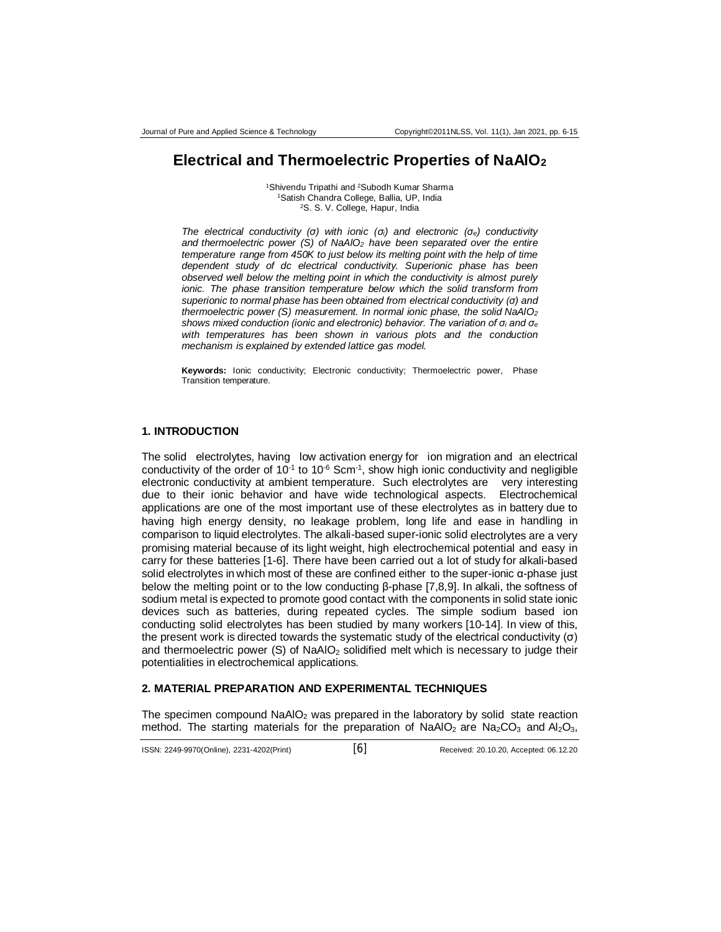# **Electrical and Thermoelectric Properties of NaAlO<sup>2</sup>**

<sup>1</sup>Shivendu Tripathi and <sup>2</sup>Subodh Kumar Sharma <sup>1</sup>Satish Chandra College, Ballia, UP, India <sup>2</sup>S. S. V. College, Hapur, India

*The electrical conductivity (σ) with ionic (σi) and electronic (σe) conductivity and thermoelectric power (S) of NaAlO<sup>2</sup> have been separated over the entire temperature range from 450K to just below its melting point with the help of time dependent study of dc electrical conductivity. Superionic phase has been observed well below the melting point in which the conductivity is almost purely ionic. The phase transition temperature below which the solid transform from superionic to normal phase has been obtained from electrical conductivity (σ) and thermoelectric power (S) measurement. In normal ionic phase, the solid NaAlO<sup>2</sup> shows mixed conduction (ionic and electronic) behavior. The variation of σ<sup>i</sup> and σ<sup>e</sup> with temperatures has been shown in various plots and the conduction mechanism is explained by extended lattice gas model.*

**Keywords:** Ionic conductivity; Electronic conductivity; Thermoelectric power, Phase Transition temperature.

#### **1. INTRODUCTION**

The solid electrolytes, having low activation energy for ion migration and an electrical conductivity of the order of 10 $10$ <sup>-1</sup> to 10 $^6$  Scm $11$ , show high ionic conductivity and negligible electronic conductivity at ambient temperature. Such electrolytes are very interesting due to their ionic behavior and have wide technological aspects. Electrochemical applications are one of the most important use of these electrolytes as in battery due to having high energy density, no leakage problem, long life and ease in handling in comparison to liquid electrolytes. The alkali-based super-ionic solid electrolytes are a very promising material because of its light weight, high electrochemical potential and easy in carry for these batteries [1-6]. There have been carried out a lot of study for alkali-based solid electrolytes in which most of these are confined either to the super-ionic α-phase just below the melting point or to the low conducting β-phase [7,8,9]. In alkali, the softness of sodium metal is expected to promote good contact with the components in solid state ionic devices such as batteries, during repeated cycles. The simple sodium based ion conducting solid electrolytes has been studied by many workers [10-14]. In view of this, the present work is directed towards the systematic study of the electrical conductivity (σ) and thermoelectric power  $(S)$  of NaAlO<sub>2</sub> solidified melt which is necessary to judge their potentialities in electrochemical applications.

#### **2. MATERIAL PREPARATION AND EXPERIMENTAL TECHNIQUES**

The specimen compound NaAIO<sub>2</sub> was prepared in the laboratory by solid state reaction method. The starting materials for the preparation of NaAlO<sub>2</sub> are Na<sub>2</sub>CO<sub>3</sub> and Al<sub>2</sub>O<sub>3</sub>.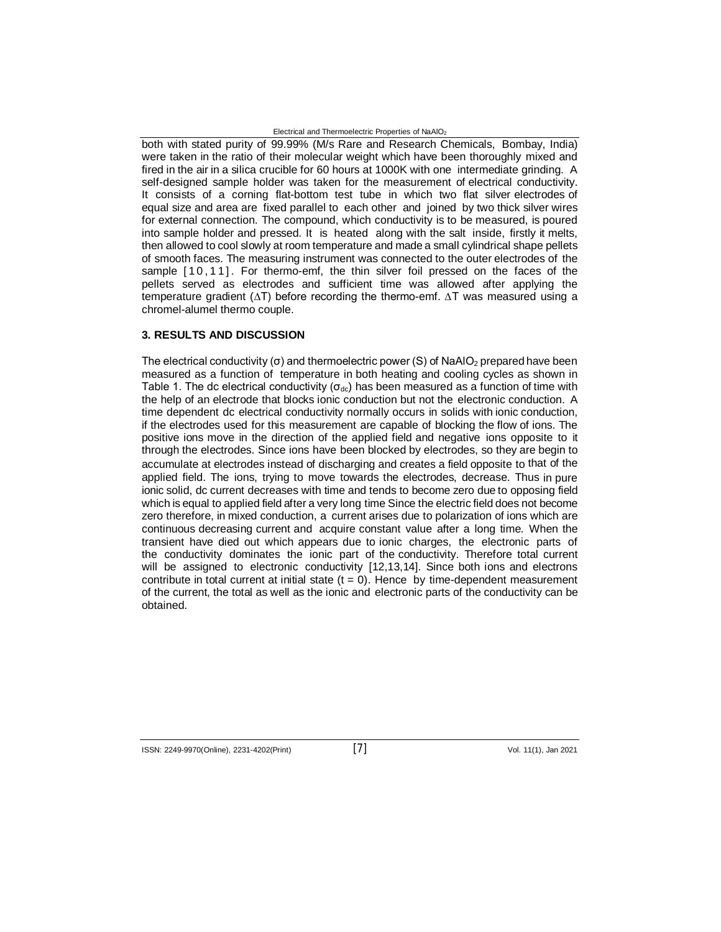Electrical and Thermoelectric Properties of NaAlO<sup>2</sup>

both with stated purity of 99.99% (M/s Rare and Research Chemicals, Bombay, India) were taken in the ratio of their molecular weight which have been thoroughly mixed and fired in the air in a silica crucible for 60 hours at 1000K with one intermediate grinding. A self-designed sample holder was taken for the measurement of electrical conductivity. It consists of a corning flat-bottom test tube in which two flat silver electrodes of equal size and area are fixed parallel to each other and joined by two thick silver wires for external connection. The compound, which conductivity is to be measured, is poured into sample holder and pressed. It is heated along with the salt inside, firstly it melts, then allowed to cool slowly at room temperature and made a small cylindrical shape pellets of smooth faces. The measuring instrument was connected to the outer electrodes of the sample [10,11]. For thermo-emf, the thin silver foil pressed on the faces of the pellets served as electrodes and sufficient time was allowed after applying the temperature gradient (∆T) before recording the thermo-emf. ∆T was measured using a chromel-alumel thermo couple.

### **3. RESULTS AND DISCUSSION**

The electrical conductivity (σ) and thermoelectric power (S) of NaAlO<sup>2</sup> prepared have been measured as a function of temperature in both heating and cooling cycles as shown in Table 1. The dc electrical conductivity ( $\sigma_{dc}$ ) has been measured as a function of time with the help of an electrode that blocks ionic conduction but not the electronic conduction. A time dependent dc electrical conductivity normally occurs in solids with ionic conduction, if the electrodes used for this measurement are capable of blocking the flow of ions. The positive ions move in the direction of the applied field and negative ions opposite to it through the electrodes. Since ions have been blocked by electrodes, so they are begin to accumulate at electrodes instead of discharging and creates a field opposite to that of the applied field. The ions, trying to move towards the electrodes, decrease. Thus in pure ionic solid, dc current decreases with time and tends to become zero due to opposing field which is equal to applied field after a very long time Since the electric field does not become zero therefore, in mixed conduction, a current arises due to polarization of ions which are continuous decreasing current and acquire constant value after a long time. When the transient have died out which appears due to ionic charges, the electronic parts of the conductivity dominates the ionic part of the conductivity. Therefore total current will be assigned to electronic conductivity [12,13,14]. Since both ions and electrons contribute in total current at initial state  $(t = 0)$ . Hence by time-dependent measurement of the current, the total as well as the ionic and electronic parts of the conductivity can be obtained.

ISSN: 2249-9970(Online), 2231-4202(Print) [7] Vol. 11(1), Jan <sup>2021</sup>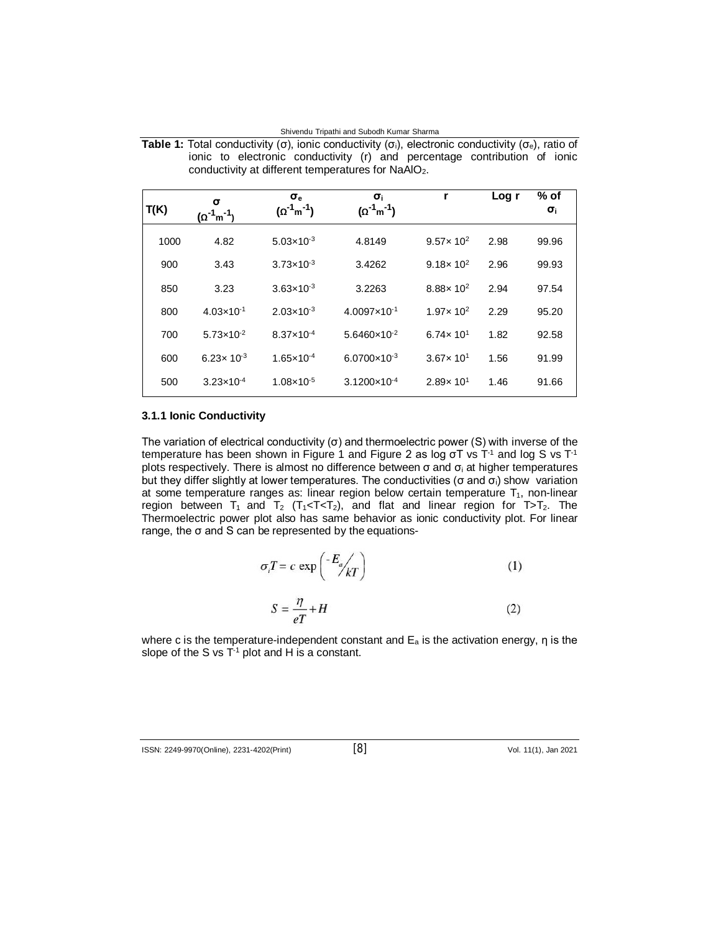| Shivendu Tripathi and Subodh Kumar Sharma |  |  |  |  |  |
|-------------------------------------------|--|--|--|--|--|
|-------------------------------------------|--|--|--|--|--|

| T(K) | σ<br>$(\Omega^{-1}$ m $^{-1})$ | $\sigma_{\rm e}$<br>$(\Omega^{-1}m^{-1})$ | $\sigma_i$<br>$(\Omega^{-1}m^{-1})$ | r                             | Log r | % of<br>$\sigma_i$ |
|------|--------------------------------|-------------------------------------------|-------------------------------------|-------------------------------|-------|--------------------|
| 1000 | 4.82                           | $5.03 \times 10^{-3}$                     | 4.8149                              | 9.57 $\times$ 10 <sup>2</sup> | 2.98  | 99.96              |
| 900  | 3.43                           | $3.73 \times 10^{-3}$                     | 3.4262                              | 9.18 $\times$ 10 <sup>2</sup> | 2.96  | 99.93              |
| 850  | 3.23                           | $3.63 \times 10^{-3}$                     | 3.2263                              | $8.88 \times 10^{2}$          | 2.94  | 97.54              |
| 800  | $4.03 \times 10^{-1}$          | $2.03 \times 10^{-3}$                     | $4.0097\times10^{-1}$               | $1.97 \times 10^{2}$          | 2.29  | 95.20              |
| 700  | $5.73 \times 10^{-2}$          | $8.37 \times 10^{-4}$                     | $5.6460 \times 10^{-2}$             | 6.74 $\times$ 10 <sup>1</sup> | 1.82  | 92.58              |
| 600  | 6.23 $\times$ 10 <sup>-3</sup> | $1.65 \times 10^{-4}$                     | $6.0700 \times 10^{-3}$             | $3.67 \times 10^{1}$          | 1.56  | 91.99              |
| 500  | $3.23\times10^{-4}$            | $1.08 \times 10^{-5}$                     | $3.1200\times10^{-4}$               | $2.89 \times 10^{1}$          | 1.46  | 91.66              |

Table 1: Total conductivity (σ), ionic conductivity (σ<sub>i</sub>), electronic conductivity (σ<sub>e</sub>), ratio of ionic to electronic conductivity (r) and percentage contribution of ionic conductivity at different temperatures for NaAlO<sub>2</sub>.

### **3.1.1 Ionic Conductivity**

The variation of electrical conductivity (σ) and thermoelectric power (S) with inverse of the temperature has been shown in Figure 1 and Figure 2 as log σT vs T<sup>-1</sup> and log S vs T<sup>-1</sup> plots respectively. There is almost no difference between  $σ$  and  $σ$  at higher temperatures but they differ slightly at lower temperatures. The conductivities (σ and  $\sigma_i$ ) show variation at some temperature ranges as: linear region below certain temperature  $T_1$ , non-linear region between  $T_1$  and  $T_2$  ( $T_1 < T < T_2$ ), and flat and linear region for  $T>T_2$ . The Thermoelectric power plot also has same behavior as ionic conductivity plot. For linear range, the σ and S can be represented by the equations-

$$
\sigma_i T = c \exp\left(\frac{E_a}{kT}\right) \tag{1}
$$

$$
S = \frac{\eta}{eT} + H\tag{2}
$$

where c is the temperature-independent constant and  $E_a$  is the activation energy,  $\eta$  is the slope of the S vs  $T^{-1}$  plot and H is a constant.

ISSN: 2249-9970(Online), 2231-4202(Print) [8] Vol. 11(1), Jan <sup>2021</sup>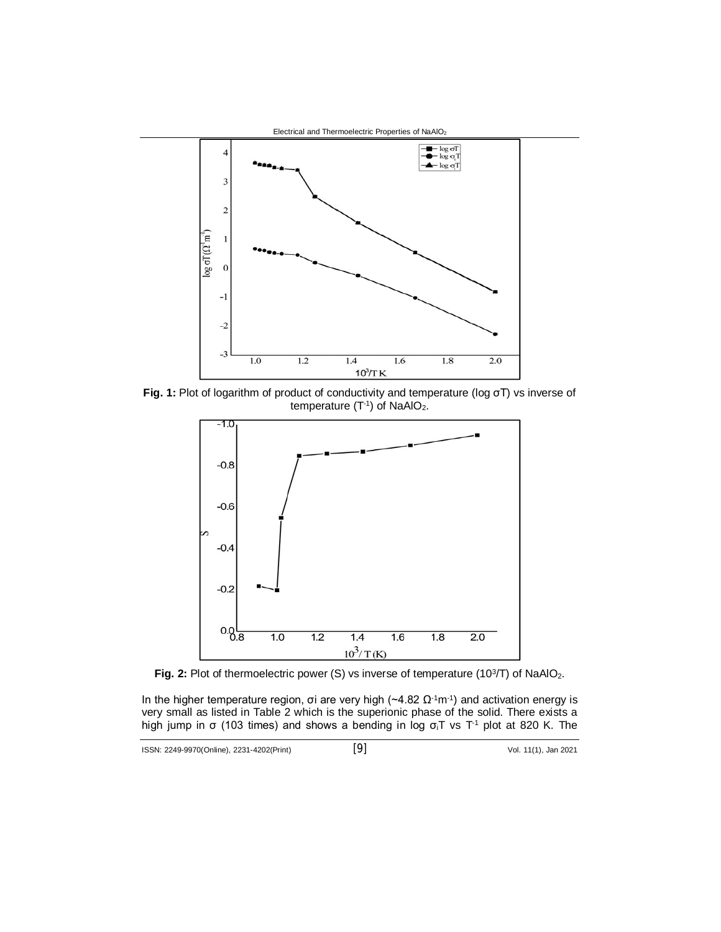

**Fig. 1:** Plot of logarithm of product of conductivity and temperature (log σT) vs inverse of temperature  $(T<sup>-1</sup>)$  of NaAlO<sub>2</sub>.



Fig. 2: Plot of thermoelectric power (S) vs inverse of temperature (10<sup>3</sup>/T) of NaAlO<sub>2</sub>.

In the higher temperature region, σi are very high ( $\sim$ 4.82 Ω<sup>-1</sup>m<sup>-1</sup>) and activation energy is very small as listed in Table 2 which is the superionic phase of the solid. There exists a high jump in σ (103 times) and shows a bending in log  $σ_iT$  vs T<sup>-1</sup> plot at 820 K. The

$$
^{[9]}
$$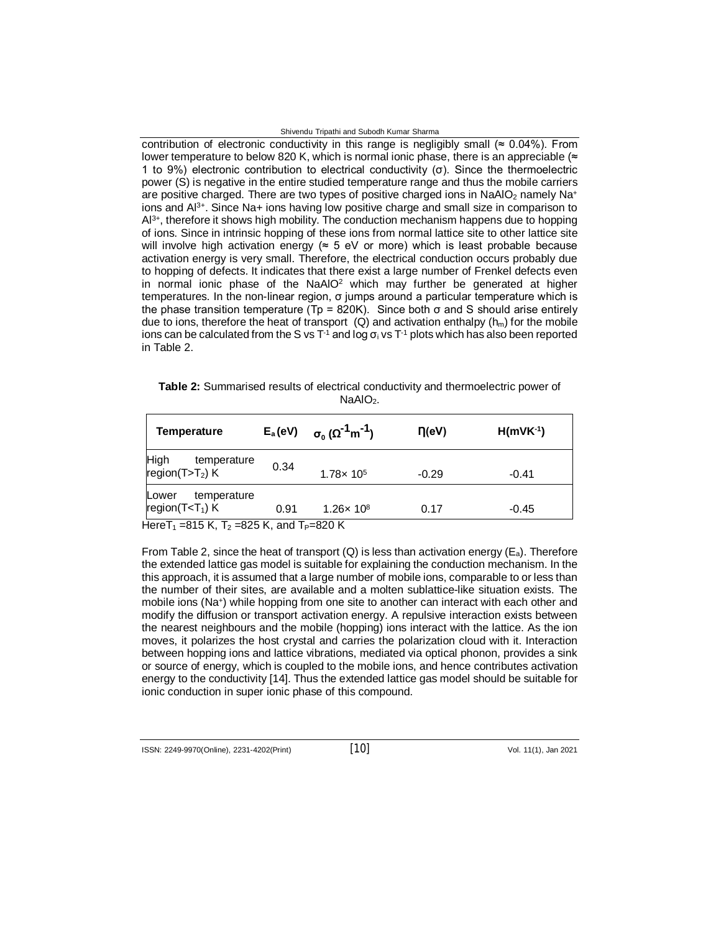#### Shivendu Tripathi and Subodh Kumar Sharma

contribution of electronic conductivity in this range is negligibly small ( $\approx 0.04\%$ ). From lower temperature to below 820 K, which is normal ionic phase, there is an appreciable ( $\approx$ 1 to 9%) electronic contribution to electrical conductivity (σ). Since the thermoelectric power (S) is negative in the entire studied temperature range and thus the mobile carriers are positive charged. There are two types of positive charged ions in NaAIO<sub>2</sub> namely Na<sup>+</sup> ions and Al<sup>3+</sup>. Since Na+ ions having low positive charge and small size in comparison to Al<sup>3+</sup>, therefore it shows high mobility. The conduction mechanism happens due to hopping of ions. Since in intrinsic hopping of these ions from normal lattice site to other lattice site will involve high activation energy ( $\approx$  5 eV or more) which is least probable because activation energy is very small. Therefore, the electrical conduction occurs probably due to hopping of defects. It indicates that there exist a large number of Frenkel defects even in normal ionic phase of the NaAIO<sup>2</sup> which may further be generated at higher temperatures. In the non-linear region,  $\sigma$  jumps around a particular temperature which is the phase transition temperature (Tp = 820K). Since both  $σ$  and S should arise entirely due to ions, therefore the heat of transport (Q) and activation enthalpy ( $h_m$ ) for the mobile ions can be calculated from the S vs  $T<sup>-1</sup>$  and log  $\sigma_i$  vs  $T<sup>-1</sup>$  plots which has also been reported in Table 2.

| Table 2: Summarised results of electrical conductivity and thermoelectric power of |  |  |  |  |  |
|------------------------------------------------------------------------------------|--|--|--|--|--|
| NaAIO <sub>2</sub> .                                                               |  |  |  |  |  |

| Temperature                                                                               | $E_a$ (eV) | $\sigma_0$ ( $\Omega^{-1}$ m <sup>-1</sup> ) | $\Pi$ (eV) | $H(mVK-1)$ |
|-------------------------------------------------------------------------------------------|------------|----------------------------------------------|------------|------------|
| <b>High</b><br>temperature<br>region( $T>T_2$ ) K                                         | 0.34       | $1.78 \times 10^{5}$                         | $-0.29$    | $-0.41$    |
| temperature<br>Lower<br>region( $T < T_1$ ) K<br>$H = 2.7$ $M = 1/7$ $M = 2.17$ $M = 2.1$ | 0.91       | $1.26 \times 10^8$                           | 0.17       | $-0.45$    |

Here  $1_1$  =815 K,  $1_2$  =825 K, and  $1_P$ =820 K

From Table 2, since the heat of transport (Q) is less than activation energy ( $E_a$ ). Therefore the extended lattice gas model is suitable for explaining the conduction mechanism. In the this approach, it is assumed that a large number of mobile ions, comparable to or less than the number of their sites, are available and a molten sublattice-like situation exists. The mobile ions (Na<sup>+</sup> ) while hopping from one site to another can interact with each other and modify the diffusion or transport activation energy. A repulsive interaction exists between the nearest neighbours and the mobile (hopping) ions interact with the lattice. As the ion moves, it polarizes the host crystal and carries the polarization cloud with it. Interaction between hopping ions and lattice vibrations, mediated via optical phonon, provides a sink or source of energy, which is coupled to the mobile ions, and hence contributes activation energy to the conductivity [14]. Thus the extended lattice gas model should be suitable for ionic conduction in super ionic phase of this compound.

ISSN: 2249-9970(Online), 2231-4202(Print) [10] Vol. 11(1), Jan <sup>2021</sup>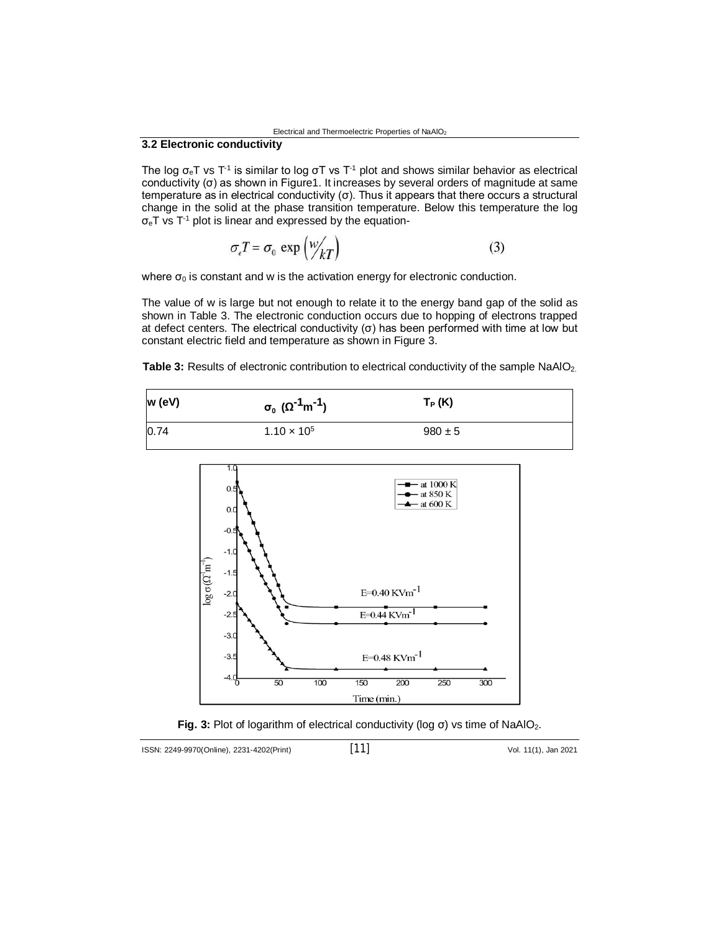# **3.2 Electronic conductivity**

The log  $\sigma_{\rm e}$ T vs T<sup>-1</sup> is similar to log σT vs T<sup>-1</sup> plot and shows similar behavior as electrical conductivity (σ) as shown in Figure1. It increases by several orders of magnitude at same temperature as in electrical conductivity (σ). Thus it appears that there occurs a structural change in the solid at the phase transition temperature. Below this temperature the log  $\sigma_{\rm e}$ T vs T<sup>-1</sup> plot is linear and expressed by the equation-

$$
\sigma_e T = \sigma_0 \exp\left(\frac{w}{kT}\right) \tag{3}
$$

where  $\sigma_0$  is constant and w is the activation energy for electronic conduction.

The value of w is large but not enough to relate it to the energy band gap of the solid as shown in Table 3. The electronic conduction occurs due to hopping of electrons trapped at defect centers. The electrical conductivity (σ) has been performed with time at low but constant electric field and temperature as shown in Figure 3.

**Table 3:** Results of electronic contribution to electrical conductivity of the sample NaAlO<sub>2.</sub>

| w (eV) | $\sigma_0$ ( $\Omega^{-1}$ m <sup>-1</sup> ) | $T_P(K)$    |
|--------|----------------------------------------------|-------------|
| 0.74   | $1.10 \times 10^{5}$                         | $980 \pm 5$ |





ISSN: 2249-9970(Online), 2231-4202(Print) [11] Vol. 11(1), Jan <sup>2021</sup>

$$
[11]
$$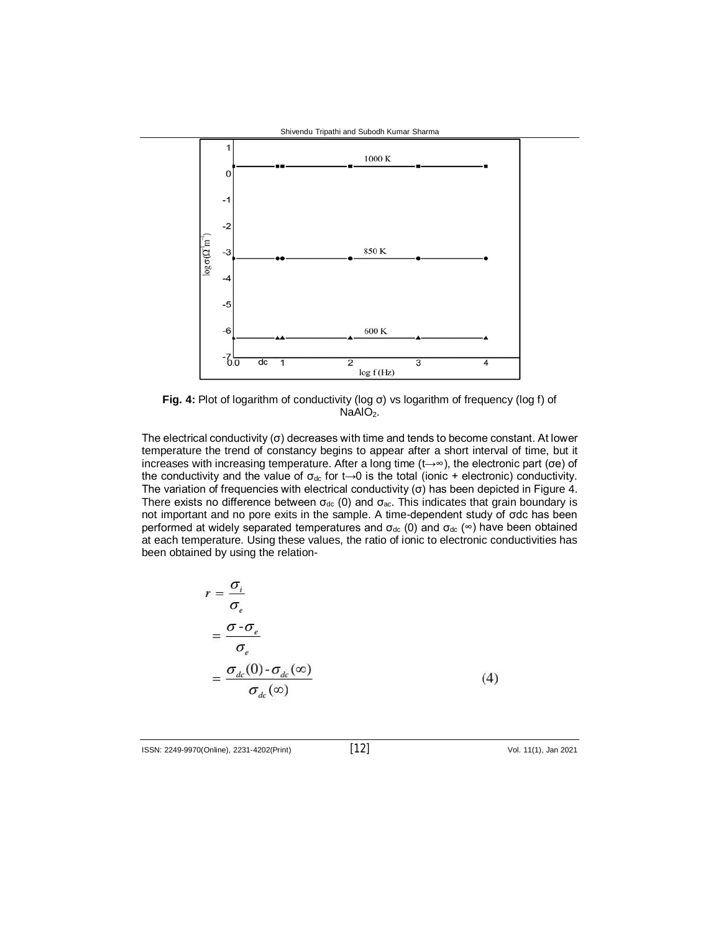

**Fig. 4:** Plot of logarithm of conductivity (log σ) vs logarithm of frequency (log f) of  $NaAlO<sub>2</sub>$ .

The electrical conductivity  $(\sigma)$  decreases with time and tends to become constant. At lower temperature the trend of constancy begins to appear after a short interval of time, but it increases with increasing temperature. After a long time (t→∞), the electronic part (σe) of the conductivity and the value of  $\sigma_{dc}$  for t→0 is the total (ionic + electronic) conductivity. The variation of frequencies with electrical conductivity (σ) has been depicted in Figure 4. There exists no difference between  $\sigma_{dc}$  (0) and  $\sigma_{ac}$ . This indicates that grain boundary is not important and no pore exits in the sample. A time-dependent study of σdc has been performed at widely separated temperatures and  $\sigma_{dc}$  (0) and  $\sigma_{dc}$  ( $\infty$ ) have been obtained at each temperature. Using these values, the ratio of ionic to electronic conductivities has been obtained by using the relation-

$$
r = \frac{\sigma_i}{\sigma_e}
$$
  
= 
$$
\frac{\sigma - \sigma_e}{\sigma_e}
$$
  
= 
$$
\frac{\sigma_{dc}(0) - \sigma_{dc}(\infty)}{\sigma_{dc}(\infty)}
$$
 (4)

ISSN: 2249-9970(Online), 2231-4202(Print) [12] Vol. 11(1), Jan <sup>2021</sup>

$$
[12]
$$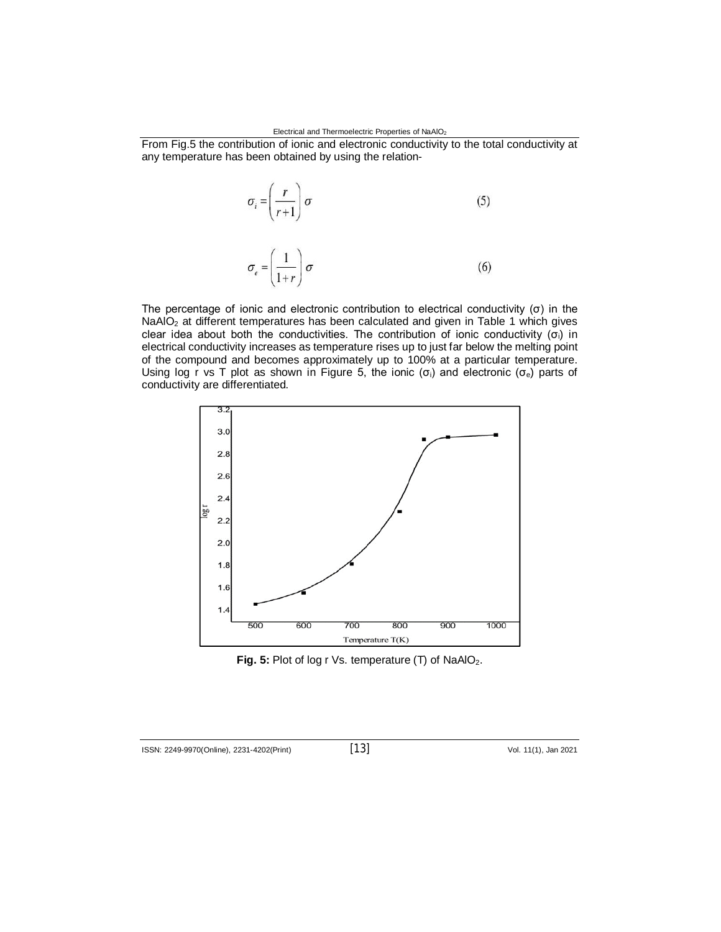From Fig.5 the contribution of ionic and electronic conductivity to the total conductivity at any temperature has been obtained by using the relation-

$$
\sigma_i = \left(\frac{r}{r+1}\right)\sigma\tag{5}
$$

$$
\sigma_e = \left(\frac{1}{1+r}\right)\sigma\tag{6}
$$

The percentage of ionic and electronic contribution to electrical conductivity  $(σ)$  in the NaAlO<sub>2</sub> at different temperatures has been calculated and given in Table 1 which gives clear idea about both the conductivities. The contribution of ionic conductivity  $(\sigma_i)$  in electrical conductivity increases as temperature rises up to just far below the melting point of the compound and becomes approximately up to 100% at a particular temperature. Using log r vs T plot as shown in Figure 5, the ionic ( $\sigma_i$ ) and electronic ( $\sigma_e$ ) parts of conductivity are differentiated.



Fig. 5: Plot of log r Vs. temperature (T) of NaAlO<sub>2</sub>.

ISSN: 2249-9970(Online), 2231-4202(Print) [13] Vol. 11(1), Jan <sup>2021</sup>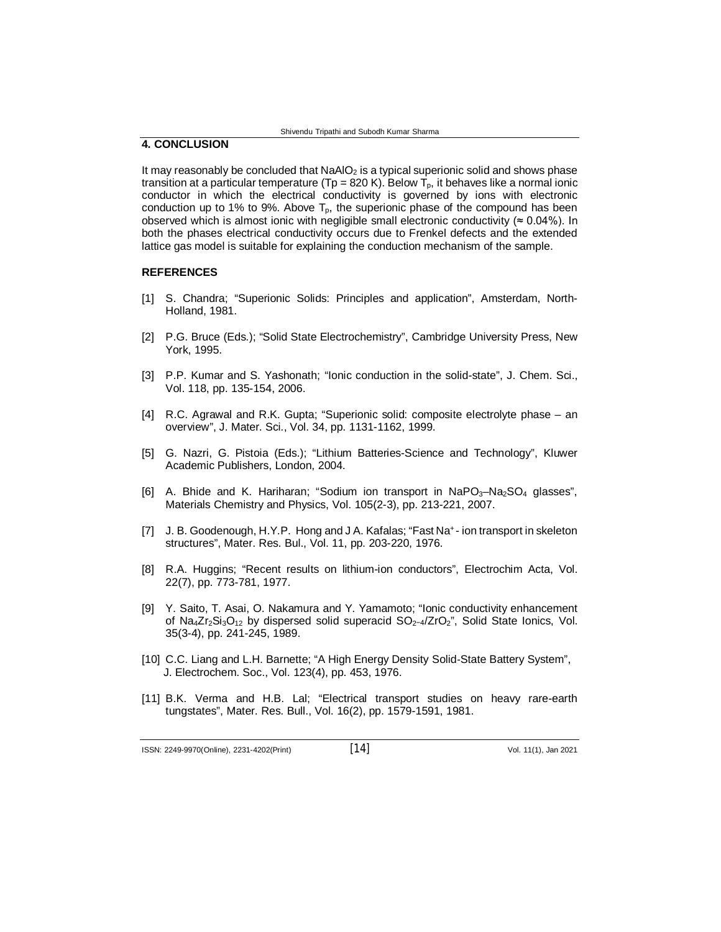# **4. CONCLUSION**

It may reasonably be concluded that  $N_A = 2$  is a typical superionic solid and shows phase transition at a particular temperature (Tp = 820 K). Below  $T<sub>o</sub>$ , it behaves like a normal ionic conductor in which the electrical conductivity is governed by ions with electronic conduction up to 1% to 9%. Above  $T_p$ , the superionic phase of the compound has been observed which is almost ionic with negligible small electronic conductivity ( $\approx 0.04\%$ ). In both the phases electrical conductivity occurs due to Frenkel defects and the extended lattice gas model is suitable for explaining the conduction mechanism of the sample.

#### **REFERENCES**

- [1] S. Chandra; "Superionic Solids: Principles and application", Amsterdam, North-Holland, 1981.
- [2] P.G. Bruce (Eds.); "Solid State Electrochemistry", Cambridge University Press, New York, 1995.
- [3] P.P. Kumar and S. Yashonath; "Ionic conduction in the solid-state", J. Chem. Sci., Vol. 118, pp. 135-154, 2006.
- [4] R.C. Agrawal and R.K. Gupta; "Superionic solid: composite electrolyte phase an overview", J. Mater. Sci., Vol. 34, pp. 1131-1162, 1999.
- [5] G. Nazri, G. Pistoia (Eds.); "Lithium Batteries-Science and Technology", Kluwer Academic Publishers, London, 2004.
- [6] A. Bhide and K. Hariharan; "Sodium ion transport in  $NaPO<sub>3</sub>-Na<sub>2</sub>SO<sub>4</sub>$  glasses", Materials Chemistry and Physics, Vol. 105(2-3), pp. 213-221, 2007.
- [7] J. B. Goodenough, H.Y.P. Hong and J A. Kafalas; "Fast Na<sup>+</sup> ion transport in skeleton structures", Mater. Res. Bul., Vol. 11, pp. 203-220, 1976.
- [8] R.A. Huggins; "Recent results on lithium-ion conductors", Electrochim Acta, Vol. 22(7), pp. 773-781, 1977.
- [9] Y. Saito, T. Asai, O. Nakamura and Y. Yamamoto; "Ionic conductivity enhancement of Na<sub>4</sub>Zr<sub>2</sub>Si<sub>3</sub>O<sub>12</sub> by dispersed solid superacid SO<sub>2</sub>−4/ZrO<sub>2</sub>", Solid State Ionics, Vol. 35(3-4), pp. 241-245, 1989.
- [10] C.C. Liang and L.H. Barnette; "A High Energy Density Solid-State Battery System", J. Electrochem. Soc., Vol. 123(4), pp. 453, 1976.
- [11] B.K. Verma and H.B. Lal; "Electrical transport studies on heavy rare-earth tungstates", Mater. Res. Bull., Vol. 16(2), pp. 1579-1591, 1981.

ISSN: 2249-9970(Online), 2231-4202(Print) [14] Vol. 11(1), Jan <sup>2021</sup>